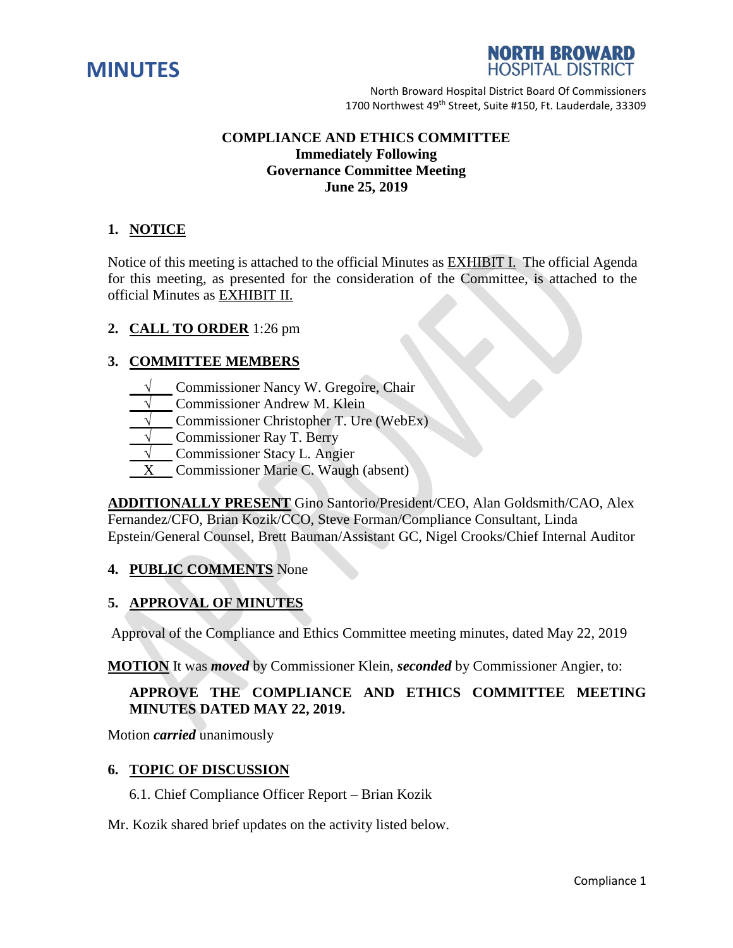



# **COMPLIANCE AND ETHICS COMMITTEE Immediately Following Governance Committee Meeting June 25, 2019**

# **1. NOTICE**

Notice of this meeting is attached to the official Minutes as EXHIBIT I. The official Agenda for this meeting, as presented for the consideration of the Committee, is attached to the official Minutes as EXHIBIT II.

# **2. CALL TO ORDER** 1:26 pm

# **3. COMMITTEE MEMBERS**

- **Commissioner Nancy W. Gregoire, Chair**
- **Commissioner Andrew M. Klein**
- **Commissioner Christopher T. Ure (WebEx)**
- **Commissioner Ray T. Berry**
- **√** Commissioner Stacy L. Angier
- X Commissioner Marie C. Waugh (absent)

**ADDITIONALLY PRESENT** Gino Santorio/President/CEO, Alan Goldsmith/CAO, Alex Fernandez/CFO, Brian Kozik/CCO, Steve Forman/Compliance Consultant, Linda Epstein/General Counsel, Brett Bauman/Assistant GC, Nigel Crooks/Chief Internal Auditor

#### **4. PUBLIC COMMENTS** None

#### **5. APPROVAL OF MINUTES**

Approval of the Compliance and Ethics Committee meeting minutes, dated May 22, 2019

**MOTION** It was *moved* by Commissioner Klein, *seconded* by Commissioner Angier, to:

# **APPROVE THE COMPLIANCE AND ETHICS COMMITTEE MEETING MINUTES DATED MAY 22, 2019.**

Motion *carried* unanimously

### **6. TOPIC OF DISCUSSION**

6.1. Chief Compliance Officer Report – Brian Kozik

Mr. Kozik shared brief updates on the activity listed below.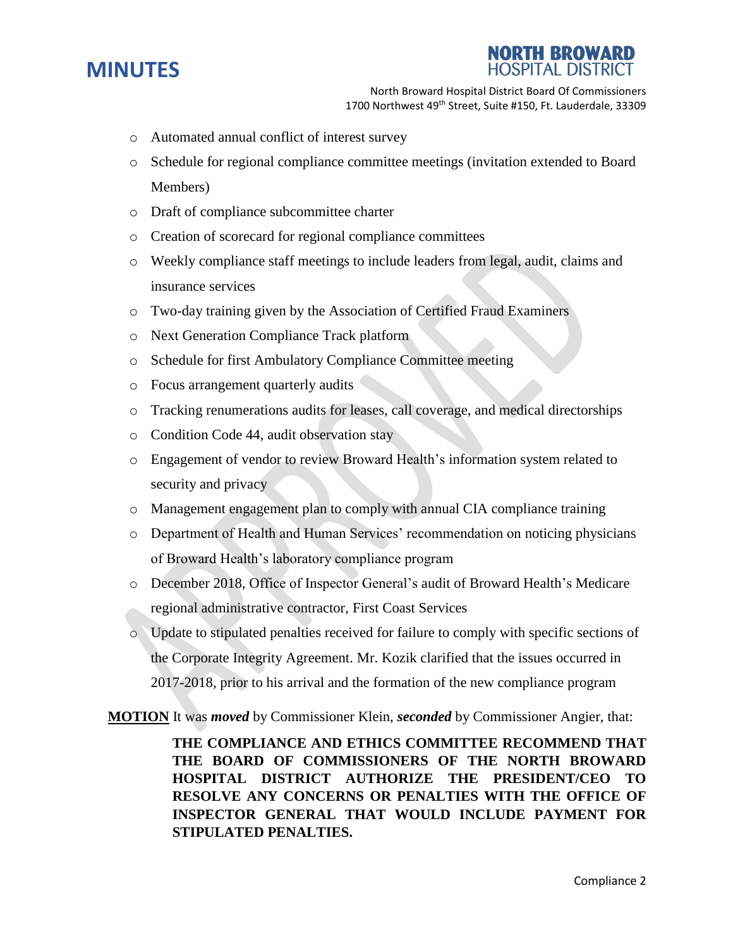



- o Automated annual conflict of interest survey
- o Schedule for regional compliance committee meetings (invitation extended to Board Members)
- o Draft of compliance subcommittee charter
- o Creation of scorecard for regional compliance committees
- o Weekly compliance staff meetings to include leaders from legal, audit, claims and insurance services
- o Two-day training given by the Association of Certified Fraud Examiners
- o Next Generation Compliance Track platform
- o Schedule for first Ambulatory Compliance Committee meeting
- o Focus arrangement quarterly audits
- o Tracking renumerations audits for leases, call coverage, and medical directorships
- o Condition Code 44, audit observation stay
- o Engagement of vendor to review Broward Health's information system related to security and privacy
- o Management engagement plan to comply with annual CIA compliance training
- o Department of Health and Human Services' recommendation on noticing physicians of Broward Health's laboratory compliance program
- o December 2018, Office of Inspector General's audit of Broward Health's Medicare regional administrative contractor, First Coast Services
- o Update to stipulated penalties received for failure to comply with specific sections of the Corporate Integrity Agreement. Mr. Kozik clarified that the issues occurred in 2017-2018, prior to his arrival and the formation of the new compliance program

**MOTION** It was *moved* by Commissioner Klein, *seconded* by Commissioner Angier, that:

**THE COMPLIANCE AND ETHICS COMMITTEE RECOMMEND THAT THE BOARD OF COMMISSIONERS OF THE NORTH BROWARD HOSPITAL DISTRICT AUTHORIZE THE PRESIDENT/CEO TO RESOLVE ANY CONCERNS OR PENALTIES WITH THE OFFICE OF INSPECTOR GENERAL THAT WOULD INCLUDE PAYMENT FOR STIPULATED PENALTIES.**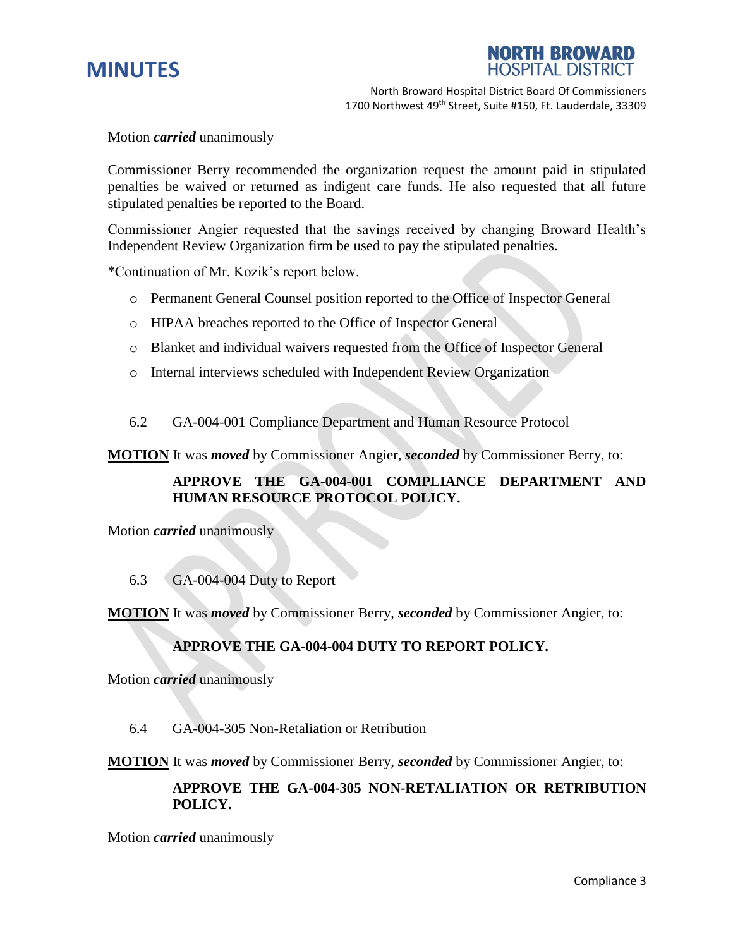



Motion *carried* unanimously

Commissioner Berry recommended the organization request the amount paid in stipulated penalties be waived or returned as indigent care funds. He also requested that all future stipulated penalties be reported to the Board.

Commissioner Angier requested that the savings received by changing Broward Health's Independent Review Organization firm be used to pay the stipulated penalties.

\*Continuation of Mr. Kozik's report below.

- o Permanent General Counsel position reported to the Office of Inspector General
- o HIPAA breaches reported to the Office of Inspector General
- o Blanket and individual waivers requested from the Office of Inspector General
- o Internal interviews scheduled with Independent Review Organization
- 6.2 GA-004-001 Compliance Department and Human Resource Protocol

**MOTION** It was *moved* by Commissioner Angier, *seconded* by Commissioner Berry, to:

# **APPROVE THE GA-004-001 COMPLIANCE DEPARTMENT AND HUMAN RESOURCE PROTOCOL POLICY.**

Motion *carried* unanimously

#### 6.3 GA-004-004 Duty to Report

**MOTION** It was *moved* by Commissioner Berry, *seconded* by Commissioner Angier, to:

#### **APPROVE THE GA-004-004 DUTY TO REPORT POLICY.**

Motion *carried* unanimously

6.4 GA-004-305 Non-Retaliation or Retribution

**MOTION** It was *moved* by Commissioner Berry, *seconded* by Commissioner Angier, to:

# **APPROVE THE GA-004-305 NON-RETALIATION OR RETRIBUTION POLICY.**

Motion *carried* unanimously